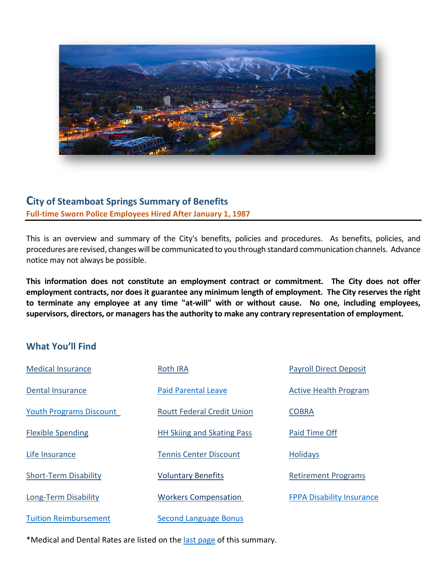

# **City of Steamboat Springs Summary of Benefits Full-time Sworn Police Employees Hired After January 1, 1987**

This is an overview and summary of the City's benefits, policies and procedures. As benefits, policies, and procedures are revised, changes will be communicated to you through standard communication channels. Advance notice may not always be possible.

**This information does not constitute an employment contract or commitment. The City does not offer employment contracts, nor does it guarantee any minimum length of employment. The City reserves the right to terminate any employee at any time "at-will" with or without cause. No one, including employees, supervisors, directors, or managers has the authority to make any contrary representation of employment.**

# **What You'll Find**

| <b>Medical Insurance</b>       | <b>Roth IRA</b>                   | <b>Payroll Direct Deposit</b>    |
|--------------------------------|-----------------------------------|----------------------------------|
| <b>Dental Insurance</b>        | <b>Paid Parental Leave</b>        | <b>Active Health Program</b>     |
| <b>Youth Programs Discount</b> | <b>Routt Federal Credit Union</b> | <b>COBRA</b>                     |
| <b>Flexible Spending</b>       | <b>HH Skiing and Skating Pass</b> | Paid Time Off                    |
| Life Insurance                 | <b>Tennis Center Discount</b>     | <b>Holidays</b>                  |
| <b>Short-Term Disability</b>   | <b>Voluntary Benefits</b>         | <b>Retirement Programs</b>       |
| Long-Term Disability           | <b>Workers Compensation</b>       | <b>FPPA Disability Insurance</b> |
| <b>Tuition Reimbursement</b>   | <b>Second Language Bonus</b>      |                                  |

\*Medical and Dental Rates are listed on the [last page](#page-6-0) of this summary.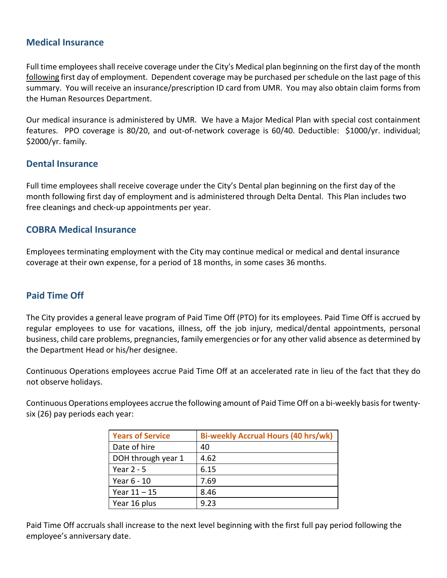### <span id="page-1-0"></span>**Medical Insurance**

Full time employees shall receive coverage under the City's Medical plan beginning on the first day of the month following first day of employment. Dependent coverage may be purchased per schedule on the last page of this summary. You will receive an insurance/prescription ID card from UMR. You may also obtain claim forms from the Human Resources Department.

Our medical insurance is administered by UMR. We have a Major Medical Plan with special cost containment features. PPO coverage is 80/20, and out-of-network coverage is 60/40. Deductible: \$1000/yr. individual; \$2000/yr. family.

#### <span id="page-1-1"></span>**Dental Insurance**

Full time employees shall receive coverage under the City's Dental plan beginning on the first day of the month following first day of employment and is administered through Delta Dental. This Plan includes two free cleanings and check-up appointments per year.

#### <span id="page-1-2"></span>**COBRA Medical Insurance**

Employees terminating employment with the City may continue medical or medical and dental insurance coverage at their own expense, for a period of 18 months, in some cases 36 months.

### <span id="page-1-3"></span>**Paid Time Off**

The City provides a general leave program of Paid Time Off (PTO) for its employees. Paid Time Off is accrued by regular employees to use for vacations, illness, off the job injury, medical/dental appointments, personal business, child care problems, pregnancies, family emergencies or for any other valid absence as determined by the Department Head or his/her designee.

Continuous Operations employees accrue Paid Time Off at an accelerated rate in lieu of the fact that they do not observe holidays.

Continuous Operations employees accrue the following amount of Paid Time Off on a bi-weekly basis for twentysix (26) pay periods each year:

| <b>Years of Service</b> | <b>Bi-weekly Accrual Hours (40 hrs/wk)</b> |
|-------------------------|--------------------------------------------|
| Date of hire            | 40                                         |
| DOH through year 1      | 4.62                                       |
| Year $2 - 5$            | 6.15                                       |
| Year 6 - 10             | 7.69                                       |
| Year $11 - 15$          | 8.46                                       |
| Year 16 plus            | 9.23                                       |

Paid Time Off accruals shall increase to the next level beginning with the first full pay period following the employee's anniversary date.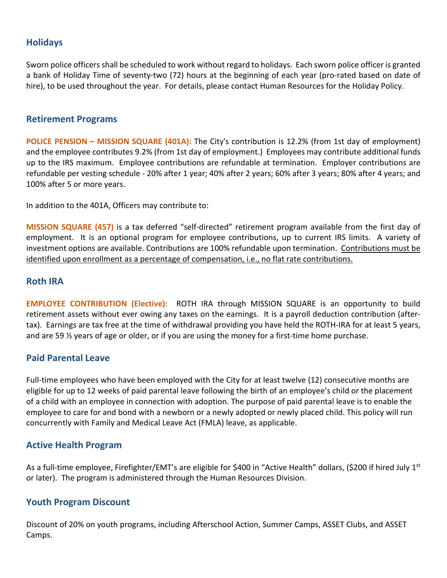# <span id="page-2-4"></span>**Holidays**

Sworn police officers shall be scheduled to work without regard to holidays. Each sworn police officer is granted a bank of Holiday Time of seventy-two (72) hours at the beginning of each year (pro-rated based on date of hire), to be used throughout the year. For details, please contact Human Resources for the Holiday Policy.

#### <span id="page-2-5"></span>**Retirement Programs**

**POLICE PENSION – MISSION SQUARE (401A):** The City's contribution is 12.2% (from 1st day of employment) and the employee contributes 9.2% (from 1st day of employment.) Employees may contribute additional funds up to the IRS maximum. Employee contributions are refundable at termination. Employer contributions are refundable per vesting schedule - 20% after 1 year; 40% after 2 years; 60% after 3 years; 80% after 4 years; and 100% after 5 or more years.

In addition to the 401A, Officers may contribute to:

**MISSION SQUARE (457)** is a tax deferred "self-directed" retirement program available from the first day of employment. It is an optional program for employee contributions, up to current IRS limits. A variety of investment options are available. Contributions are 100% refundable upon termination. Contributions must be identified upon enrollment as a percentage of compensation, i.e., no flat rate contributions.

#### <span id="page-2-0"></span>**Roth IRA**

**EMPLOYEE CONTRIBUTION (Elective)**: ROTH IRA through MISSION SQUARE is an opportunity to build retirement assets without ever owing any taxes on the earnings. It is a payroll deduction contribution (aftertax). Earnings are tax free at the time of withdrawal providing you have held the ROTH-IRA for at least 5 years, and are 59 ½ years of age or older, or if you are using the money for a first-time home purchase.

### <span id="page-2-1"></span>**Paid Parental Leave**

Full-time employees who have been employed with the City for at least twelve (12) consecutive months are eligible for up to 12 weeks of paid parental leave following the birth of an employee's child or the placement of a child with an employee in connection with adoption. The purpose of paid parental leave is to enable the employee to care for and bond with a newborn or a newly adopted or newly placed child. This policy will run concurrently with Family and Medical Leave Act (FMLA) leave, as applicable.

### <span id="page-2-2"></span>**Active Health Program**

As a full-time employee, Firefighter/EMT's are eligible for \$400 in "Active Health" dollars, (\$200 if hired July 1<sup>st</sup> or later). The program is administered through the Human Resources Division.

### <span id="page-2-3"></span>**Youth Program Discount**

Discount of 20% on youth programs, including Afterschool Action, Summer Camps, ASSET Clubs, and ASSET Camps.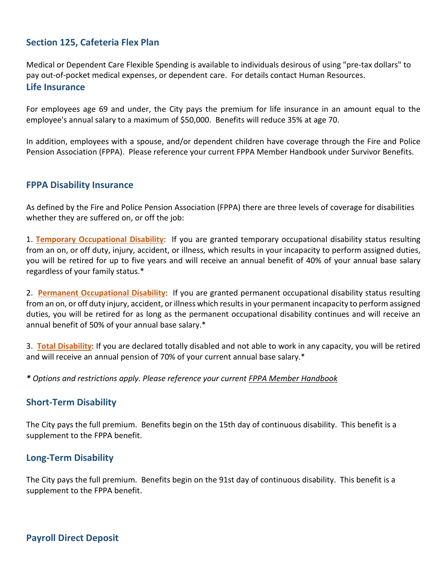## <span id="page-3-1"></span>**Section 125, Cafeteria Flex Plan**

<span id="page-3-2"></span>Medical or Dependent Care Flexible Spending is available to individuals desirous of using "pre-tax dollars" to pay out-of-pocket medical expenses, or dependent care. For details contact Human Resources. **Life Insurance**

For employees age 69 and under, the City pays the premium for life insurance in an amount equal to the employee's annual salary to a maximum of \$50,000. Benefits will reduce 35% at age 70.

In addition, employees with a spouse, and/or dependent children have coverage through the Fire and Police Pension Association (FPPA). Please reference your current FPPA Member Handbook under Survivor Benefits.

#### <span id="page-3-5"></span>**FPPA Disability Insurance**

As defined by the Fire and Police Pension Association (FPPA) there are three levels of coverage for disabilities whether they are suffered on, or off the job:

1. **Temporary Occupational Disability**: If you are granted temporary occupational disability status resulting from an on, or off duty, injury, accident, or illness, which results in your incapacity to perform assigned duties, you will be retired for up to five years and will receive an annual benefit of 40% of your annual base salary regardless of your family status.\*

2. **Permanent Occupational Disability**: If you are granted permanent occupational disability status resulting from an on, or off duty injury, accident, or illness which results in your permanent incapacity to perform assigned duties, you will be retired for as long as the permanent occupational disability continues and will receive an annual benefit of 50% of your annual base salary.\*

3. **Total Disability**: If you are declared totally disabled and not able to work in any capacity, you will be retired and will receive an annual pension of 70% of your current annual base salary.\*

<span id="page-3-3"></span>*\* Options and restrictions apply. Please reference your current FPPA Member Handbook*

#### **Short-Term Disability**

The City pays the full premium. Benefits begin on the 15th day of continuous disability. This benefit is a supplement to the FPPA benefit.

#### <span id="page-3-4"></span>**Long-Term Disability**

<span id="page-3-0"></span>The City pays the full premium. Benefits begin on the 91st day of continuous disability. This benefit is a supplement to the FPPA benefit.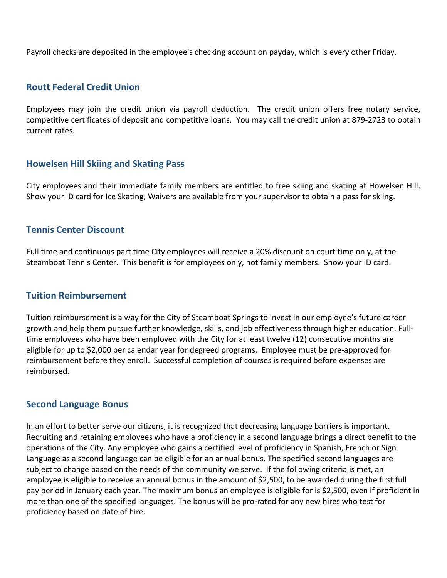Payroll checks are deposited in the employee's checking account on payday, which is every other Friday.

#### <span id="page-4-0"></span>**Routt Federal Credit Union**

Employees may join the credit union via payroll deduction. The credit union offers free notary service, competitive certificates of deposit and competitive loans. You may call the credit union at 879-2723 to obtain current rates.

#### <span id="page-4-1"></span>**Howelsen Hill Skiing and Skating Pass**

City employees and their immediate family members are entitled to free skiing and skating at Howelsen Hill. Show your ID card for Ice Skating, Waivers are available from your supervisor to obtain a pass for skiing.

#### <span id="page-4-2"></span>**Tennis Center Discount**

Full time and continuous part time City employees will receive a 20% discount on court time only, at the Steamboat Tennis Center. This benefit is for employees only, not family members. Show your ID card.

#### <span id="page-4-3"></span>**Tuition Reimbursement**

Tuition reimbursement is a way for the City of Steamboat Springs to invest in our employee's future career growth and help them pursue further knowledge, skills, and job effectiveness through higher education. Fulltime employees who have been employed with the City for at least twelve (12) consecutive months are eligible for up to \$2,000 per calendar year for degreed programs. Employee must be pre-approved for reimbursement before they enroll. Successful completion of courses is required before expenses are reimbursed.

#### <span id="page-4-4"></span>**Second Language Bonus**

In an effort to better serve our citizens, it is recognized that decreasing language barriers is important. Recruiting and retaining employees who have a proficiency in a second language brings a direct benefit to the operations of the City. Any employee who gains a certified level of proficiency in Spanish, French or Sign Language as a second language can be eligible for an annual bonus. The specified second languages are subject to change based on the needs of the community we serve. If the following criteria is met, an employee is eligible to receive an annual bonus in the amount of \$2,500, to be awarded during the first full pay period in January each year. The maximum bonus an employee is eligible for is \$2,500, even if proficient in more than one of the specified languages. The bonus will be pro-rated for any new hires who test for proficiency based on date of hire.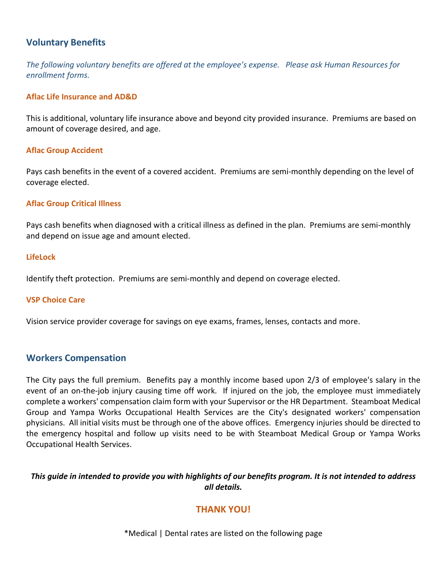### <span id="page-5-0"></span>**Voluntary Benefits**

*The following voluntary benefits are offered at the employee's expense. Please ask Human Resources for enrollment forms.*

#### **Aflac Life Insurance and AD&D**

This is additional, voluntary life insurance above and beyond city provided insurance. Premiums are based on amount of coverage desired, and age.

#### **Aflac Group Accident**

Pays cash benefits in the event of a covered accident. Premiums are semi-monthly depending on the level of coverage elected.

#### **Aflac Group Critical Illness**

Pays cash benefits when diagnosed with a critical illness as defined in the plan. Premiums are semi-monthly and depend on issue age and amount elected.

#### **LifeLock**

Identify theft protection. Premiums are semi-monthly and depend on coverage elected.

#### **VSP Choice Care**

<span id="page-5-1"></span>Vision service provider coverage for savings on eye exams, frames, lenses, contacts and more.

#### **Workers Compensation**

The City pays the full premium. Benefits pay a monthly income based upon 2/3 of employee's salary in the event of an on-the-job injury causing time off work. If injured on the job, the employee must immediately complete a workers' compensation claim form with your Supervisor or the HR Department. Steamboat Medical Group and Yampa Works Occupational Health Services are the City's designated workers' compensation physicians. All initial visits must be through one of the above offices. Emergency injuries should be directed to the emergency hospital and follow up visits need to be with Steamboat Medical Group or Yampa Works Occupational Health Services.

#### *This guide in intended to provide you with highlights of our benefits program. It is not intended to address all details.*

# **THANK YOU!**

\*Medical | Dental rates are listed on the following page